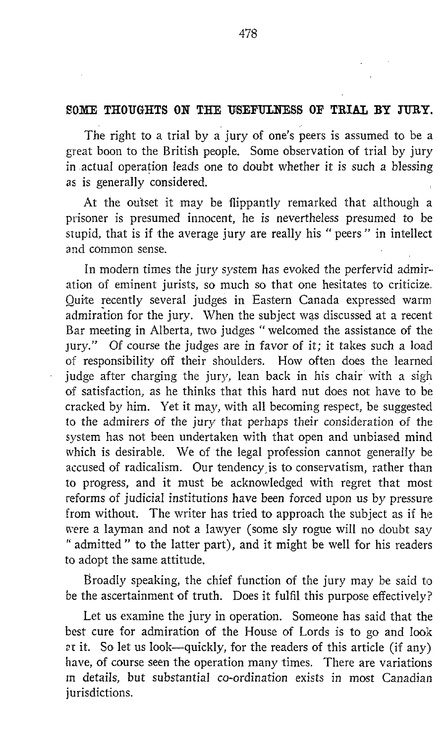## SOME THOUGHTS ON THE USEFULNESS OF TRIAL BY JURY.

The right to a trial by a jury of one's peers is assumed to be a great boon to the British people. Some observation of trial by jury in -actual operation leads one to doubt whether it is such a blessing as is generally considered.

At the outset it may be flippantly remarked that although a prisoner is presumed innocent, he is nevertheless presumed to be stupid, that is if the average jury are really his " peers " in intellect and common sense.

In modern times the jury system has evoked the perfervid admiration of eminent jurists, so much so that one hesitates to criticize. Quite recently several judges in Eastern Canada expressed warm admiration for the jury. When the subject was discussed at <sup>a</sup> recent Bar meeting in Alberta, two judges " welcomed the assistance of the jury." Of course the judges are in favor of it; it takes such a load of responsibility off their shoulders. How often does the learned judge after charging the jury, lean back in his chair with a sigh of satisfaction, as he thinks that this hard nut does not have to be cracked by him. Yet it may, with all becoming respect, be suggested to the admirers of the jury that perhaps their consideration of the system has not been undertaken with that open and unbiased mind which is desirable. We of the legal profession cannot generally be accused of radicalism. Our tendency is to conservatism, rather than to progress, and it must be acknowledged with regret that most reforms of judicial institutions have been forced upon us by pressure from without. The writer has tried to approach the subject as if he were a layman and not a lawyer (some sly rogue will no doubt say " admitted " to the latter part), and it might be well for his readers to adopt the same attitude.

Broadly speaking, the chief function of the jury may be said to be the ascertainment of truth. Does it fulfil this purpose effectively?

Let us examine the jury in operation. Someone has said that the best cure for admiration of the House of Lords is to go and look <sup>r</sup> it . So let us look-quickly, for the readers of this article (if any) have, of course seen the operation many times. There are variations in details, but substantial co-ordination exists in most Canadian jurisdictions.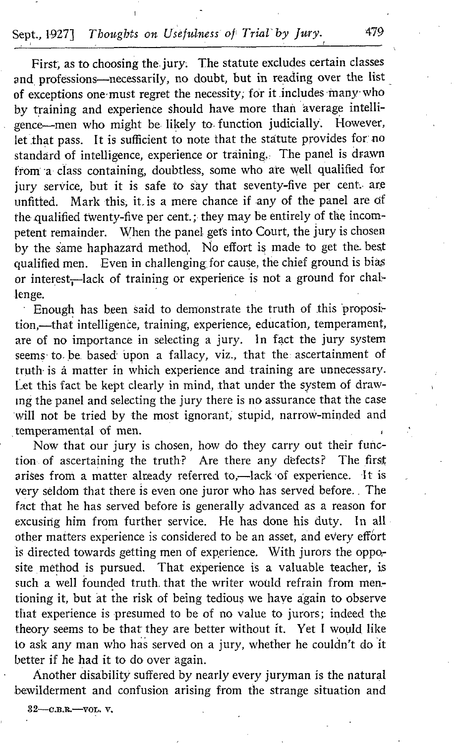## Sept., 1927] Thoughts on Usefulness of Trial by Jury. 479

First; as to choosing the, jury. The statute excludes certain classes and professions-necessarily, no doubt, but in reading over the list of exceptions one-must regret the necessity, for it .includes inany who by training and experience should have more than average intelli gence-men who might be. likely to, function judicially. However, let that pass. It is sufficient to note that the statute provides for no standard of intelligence, experience or training. The panel is drawn from a class containing, doubtless, some who are well qualified for jury service, but it is safe to say that seventy-five per cent. are unfitted. Mark this; it, is a mere chance if any of the panel are of the. qualified twenty-five per cent. ; they may be entirely of the incompetent remainder. When the panel gets into Court, the jury is chosen by the same haphazard method. No effort is made to get the best qualified men. Even in challenging for cause, the chief ground is bias or interest<sub>1</sub>-lack of training or experience is not a ground for challenge.

' Enough has been said to demonstrate the truth of this proposi= tion,-that intelligence, training, experience, education, temperament, are of no importance in selecting a jury. In fact the jury system seems to be based upon a fallacy, viz., that the ascertainment of truth- is â matter in which experience and training are unnecessary. I-et this fact be kept clearly in mind, that under the system of drawing the panel and selecting the jury there is no assurance that the case will not be tried by the most ignorant, stupid, narrow-minded and temperamental of men.

Now that our jury is chosen, how do they carry out their func-<br>no of ascertaining the truth? Are there any defects? The first tion of ascertaining the truth? Are there any defects? arises from a matter already referred to,-lack of experience. It is very seldom that there is even one juror who has served before. . The fact that he has served before is generally advanced as a reason for excusing him from further service. He has done his duty. In all other matters experience is considered to be an asset, and every effort is directed towards getting men of experience. With jurors the opposite method is pursued. That experience is a valuable teacher, is such a well founded truth. that the writer would refrain from mentioning it, but at the risk of being tedious we have again to observe that experience is presumed to be of no value to jurors; indeed the theory seems to be that they are better without it. Yet I would like to ask any man who has served on a jury, whether he couldn't do it better if he had it to do over again.

Another disability suffered by nearly every juryman is the natural bewilderment and confusion arising from the strange situation and

32-c.b.r.-vol. v.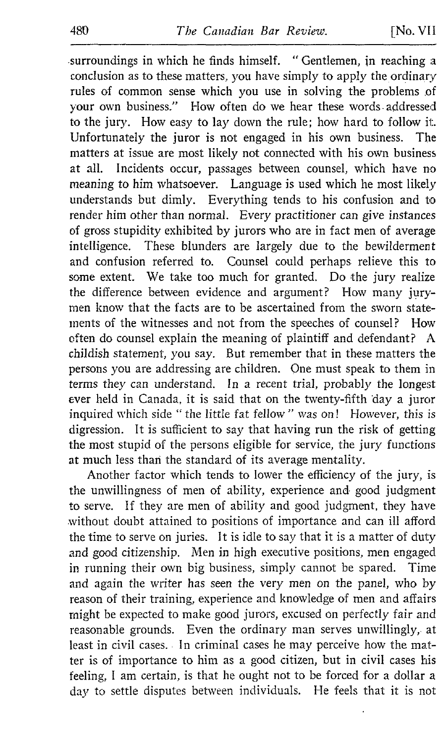surroundings in which he finds himself. " Gentlemen, in reaching a conclusion as to these matters, you have simply to apply the ordinary rules of common sense which you use in solving the problems of your own business." How often do we hear these words-addressed to the jury. How easy to lay down the rule; how hard to follow it. Unfortunately the juror is not engaged in his own business. The matters at issue are most likely not connected with his own business at all. Incidents occur, passages between counsel, which have no meaning to him whatsoever. Language is used which he most likely understands but dimly. Everything tends to his confusion and to render him other than normal. Every practitioner can give instances of gross stupidity exhibited by jurors who are in fact men of average intelligence. These blunders are largely due to the bewilderment and confusion referred to. Counsel could perhaps relieve this to some extent. We take too much for granted. Do the jury realize the difference between evidence and argument? How many jurymen know that the facts are to be ascertained from the sworn statements of the witnesses and not from the speeches of counsel? How often do counsel explain the meaning of plaintiff and defendant? A childish statement, you say. But remember that in these matters the persons you are addressing are children. One must speak to them in terms they can understand. In a recent trial, probably the longest ever held in Canada, it is said that on the twenty-fifth day a juror inquired which side " the little fat fellow " was on! However, this is digression. It is sufficient to say that having run the risk of getting the most stupid of the persons eligible for service, the jury functions at much less than the standard of its average mentality.

Another factor which tends to lower the efficiency of the jury, is the unwillingness of men of ability, experience and good judgment to serve. If they are men of ability and good judgment, they have without doubt attained to positions of importance and can ill afford the time to serve on juries. 1t is idle to say that it is a matter of duty and good citizenship. Men in high executive positions, men engaged in running their own big business, simply cannot be spared. Time and again the writer has seen the very men on the panel, who by reason of their training, experience and knowledge of men and affairs might be expected to make good jurors, excused on perfectly fair and reasonable grounds. Even the ordinary man serves unwillingly, at least in civil cases. In criminal cases he may perceive how the matter is of importance to him as a good citizen, but in civil cases his feeling, <sup>I</sup> am certain, is that he ought not to be forced for <sup>a</sup> dollar <sup>a</sup> day to settle disputes between individuals. He feels that it is not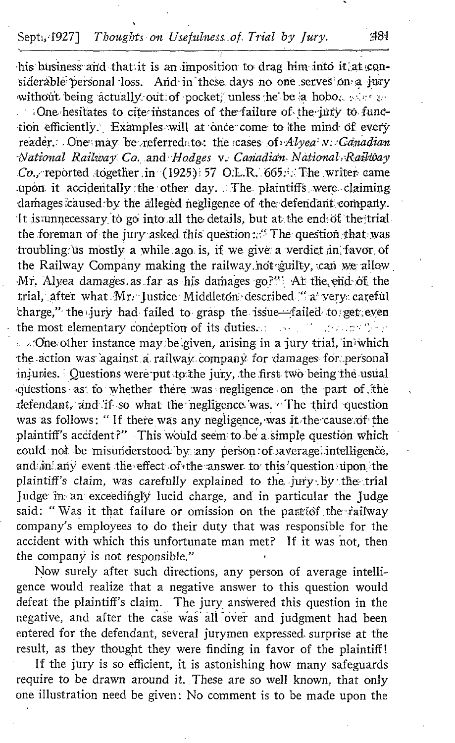## Septi, 1927] Thoughts on Usefulness of Trial by Jury.

his business and that it is an imposition to drag him into it at considerable personal loss. And in these days no one serves on a jury without being actually out of pocket, unless he be a hobot seen an Che hesitates to cite instances of the failure of the jury to function efficiently. Examples will at once come to the mind of every reader. One may be referred to: the cases of Alyea N. Canadian National Railway Co. and Hodges v. Canadian National Railway Co., reported together in (1925) 57 O.L.R. 665. The writer came upon it accidentally the other day. The plaintiffs were claiming damages caused by the alleged negligence of the defendant company. It is unnecessary to go into all the details, but at the end of the trial the foreman of the jury asked this question: "The question that was troubling us mostly a while ago is, if we give a verdict in favor of the Railway Company making the railway not guilty, can we allow Mr. Alvea damages as far as his damages go?": At the end of the trial, after what Mr. Justice Middleton described "a very careful charge," the jury had failed to grasp the issue-failed to get even the most elementary conception of its duties. And the conception

... One other instance may be given, arising in a jury trial, in which the action was against a railway company for damages for personal injuries. Questions were put to the jury, the first two being the usual questions as to whether there was negligence on the part of the defendant, and if so what the negligence was. The third question was as follows: "If there was any negligence, was it the cause of the plaintiff's accident?" This would seem to be a simple question which could not be misunderstood by any person of average intelligence, and in any event the effect of the answer to this question upon the plaintiff's claim, was carefully explained to the jury by the trial Judge in an exceedingly lucid charge, and in particular the Judge said: "Was it that failure or omission on the part of the railway company's employees to do their duty that was responsible for the accident with which this unfortunate man met? If it was not, then the company is not responsible."

Now surely after such directions, any person of average intelligence would realize that a negative answer to this question would defeat the plaintiff's claim. The jury answered this question in the negative, and after the case was all over and judgment had been entered for the defendant, several jurymen expressed surprise at the result, as they thought they were finding in favor of the plaintiff!

If the jury is so efficient, it is astonishing how many safeguards require to be drawn around it. These are so well known, that only one illustration need be given: No comment is to be made upon the